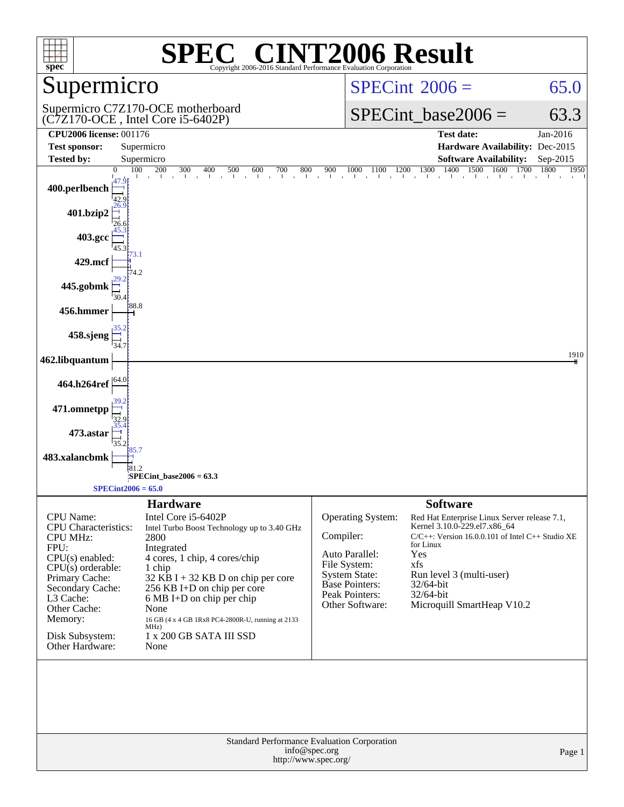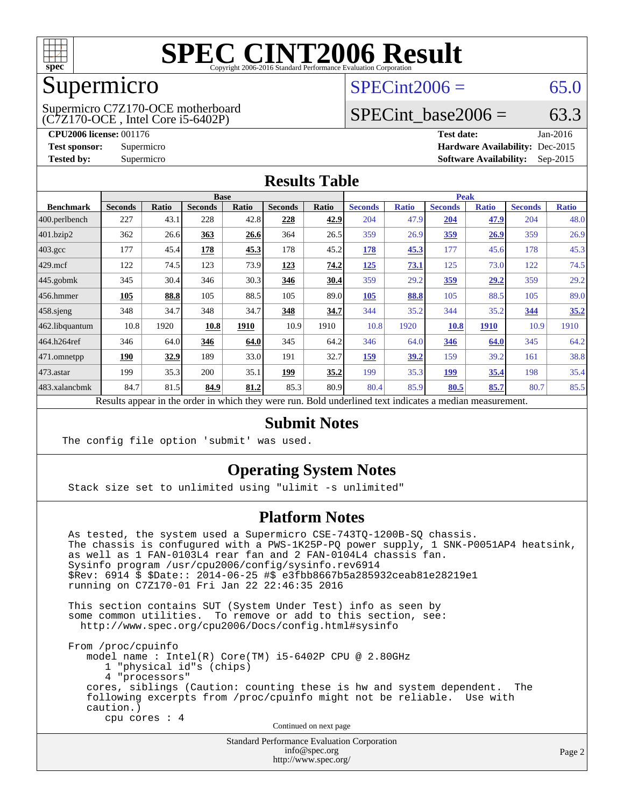

#### Supermicro

(C7Z170-OCE , Intel Core i5-6402P) Supermicro C7Z170-OCE motherboard  $SPECint2006 = 65.0$  $SPECint2006 = 65.0$ 

### SPECint base2006 =  $63.3$

**[CPU2006 license:](http://www.spec.org/auto/cpu2006/Docs/result-fields.html#CPU2006license)** 001176 **[Test date:](http://www.spec.org/auto/cpu2006/Docs/result-fields.html#Testdate)** Jan-2016 **[Test sponsor:](http://www.spec.org/auto/cpu2006/Docs/result-fields.html#Testsponsor)** Supermicro **[Hardware Availability:](http://www.spec.org/auto/cpu2006/Docs/result-fields.html#HardwareAvailability)** Dec-2015 **[Tested by:](http://www.spec.org/auto/cpu2006/Docs/result-fields.html#Testedby)** Supermicro **Supermicro [Software Availability:](http://www.spec.org/auto/cpu2006/Docs/result-fields.html#SoftwareAvailability)** Sep-2015

#### **[Results Table](http://www.spec.org/auto/cpu2006/Docs/result-fields.html#ResultsTable)**

|                    | <b>Base</b>    |             |                |              |                |       |                | <b>Peak</b>  |                |              |                |              |  |
|--------------------|----------------|-------------|----------------|--------------|----------------|-------|----------------|--------------|----------------|--------------|----------------|--------------|--|
| <b>Benchmark</b>   | <b>Seconds</b> | Ratio       | <b>Seconds</b> | <b>Ratio</b> | <b>Seconds</b> | Ratio | <b>Seconds</b> | <b>Ratio</b> | <b>Seconds</b> | <b>Ratio</b> | <b>Seconds</b> | <b>Ratio</b> |  |
| 400.perlbench      | 227            | 43.1        | 228            | 42.8         | 228            | 42.9  | 204            | 47.9         | 204            | 47.9         | 204            | 48.0         |  |
| 401.bzip2          | 362            | 26.6        | 363            | 26.6         | 364            | 26.5  | 359            | 26.9         | 359            | 26.9         | 359            | 26.9         |  |
| $403.\mathrm{gcc}$ | 177            | 45.4        | 178            | 45.3         | 178            | 45.2  | 178            | 45.3         | 177            | 45.6         | 178            | 45.3         |  |
| $429$ .mcf         | 122            | 74.5        | 123            | 73.9         | 123            | 74.2  | 125            | 73.1         | 125            | 73.0         | 122            | 74.5         |  |
| $445$ .gobmk       | 345            | 30.4        | 346            | 30.3         | 346            | 30.4  | 359            | 29.2         | 359            | <u>29.2</u>  | 359            | 29.2         |  |
| $456.$ hmmer       | 105            | 88.8        | 105            | 88.5         | 105            | 89.0  | 105            | 88.8         | 105            | 88.5         | 105            | 89.0         |  |
| $458$ .sjeng       | 348            | 34.7        | 348            | 34.7         | 348            | 34.7  | 344            | 35.2         | 344            | 35.2         | 344            | 35.2         |  |
| 462.libquantum     | 10.8           | 1920        | 10.8           | 1910         | 10.9           | 1910  | 10.8           | 1920         | 10.8           | <b>1910</b>  | 10.9           | 1910         |  |
| 464.h264ref        | 346            | 64.0        | 346            | 64.0         | 345            | 64.2  | 346            | 64.0         | 346            | 64.0         | 345            | 64.2         |  |
| $471$ .omnetpp     | 190            | <u>32.9</u> | 189            | 33.0         | 191            | 32.7  | 159            | 39.2         | 159            | 39.2         | 161            | 38.8         |  |
| $473$ . astar      | 199            | 35.3        | 200            | 35.1         | <u>199</u>     | 35.2  | 199            | 35.3         | <u>199</u>     | 35.4         | 198            | 35.4         |  |
| 483.xalancbmk      | 84.7           | 81.5        | 84.9           | 81.2         | 85.3           | 80.9  | 80.4           | 85.9         | 80.5           | 85.7         | 80.7           | 85.5         |  |

Results appear in the [order in which they were run.](http://www.spec.org/auto/cpu2006/Docs/result-fields.html#RunOrder) Bold underlined text [indicates a median measurement.](http://www.spec.org/auto/cpu2006/Docs/result-fields.html#Median)

#### **[Submit Notes](http://www.spec.org/auto/cpu2006/Docs/result-fields.html#SubmitNotes)**

The config file option 'submit' was used.

#### **[Operating System Notes](http://www.spec.org/auto/cpu2006/Docs/result-fields.html#OperatingSystemNotes)**

Stack size set to unlimited using "ulimit -s unlimited"

#### **[Platform Notes](http://www.spec.org/auto/cpu2006/Docs/result-fields.html#PlatformNotes)**

 As tested, the system used a Supermicro CSE-743TQ-1200B-SQ chassis. The chassis is confugured with a PWS-1K25P-PQ power supply, 1 SNK-P0051AP4 heatsink, as well as 1 FAN-0103L4 rear fan and 2 FAN-0104L4 chassis fan. Sysinfo program /usr/cpu2006/config/sysinfo.rev6914 \$Rev: 6914 \$ \$Date:: 2014-06-25 #\$ e3fbb8667b5a285932ceab81e28219e1 running on C7Z170-01 Fri Jan 22 22:46:35 2016

 This section contains SUT (System Under Test) info as seen by some common utilities. To remove or add to this section, see: <http://www.spec.org/cpu2006/Docs/config.html#sysinfo>

 From /proc/cpuinfo model name : Intel(R) Core(TM) i5-6402P CPU @ 2.80GHz 1 "physical id"s (chips) 4 "processors" cores, siblings (Caution: counting these is hw and system dependent. The following excerpts from /proc/cpuinfo might not be reliable. Use with caution.) cpu cores : 4

Continued on next page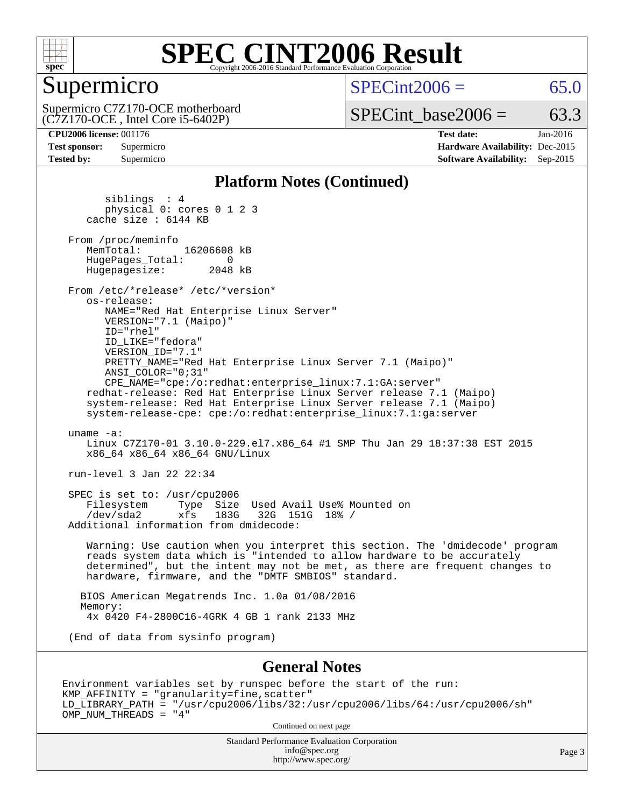

### Supermicro

 $SPECint2006 = 65.0$  $SPECint2006 = 65.0$ 

(C7Z170-OCE , Intel Core i5-6402P) Supermicro C7Z170-OCE motherboard  $SPECTnt\_base2006 = 63.3$ 

**[CPU2006 license:](http://www.spec.org/auto/cpu2006/Docs/result-fields.html#CPU2006license)** 001176 **[Test date:](http://www.spec.org/auto/cpu2006/Docs/result-fields.html#Testdate)** Jan-2016 **[Test sponsor:](http://www.spec.org/auto/cpu2006/Docs/result-fields.html#Testsponsor)** Supermicro **[Hardware Availability:](http://www.spec.org/auto/cpu2006/Docs/result-fields.html#HardwareAvailability)** Dec-2015 **[Tested by:](http://www.spec.org/auto/cpu2006/Docs/result-fields.html#Testedby)** Supermicro **[Software Availability:](http://www.spec.org/auto/cpu2006/Docs/result-fields.html#SoftwareAvailability)** Sep-2015

#### **[Platform Notes \(Continued\)](http://www.spec.org/auto/cpu2006/Docs/result-fields.html#PlatformNotes)**

 siblings : 4 physical 0: cores 0 1 2 3 cache size : 6144 KB From /proc/meminfo<br>MemTotal: 16206608 kB HugePages\_Total: 0<br>Hugepagesize: 2048 kB Hugepagesize: From /etc/\*release\* /etc/\*version\* os-release: NAME="Red Hat Enterprise Linux Server" VERSION="7.1 (Maipo)" ID="rhel" ID\_LIKE="fedora" VERSION\_ID="7.1" PRETTY\_NAME="Red Hat Enterprise Linux Server 7.1 (Maipo)" ANSI\_COLOR="0;31" CPE\_NAME="cpe:/o:redhat:enterprise\_linux:7.1:GA:server" redhat-release: Red Hat Enterprise Linux Server release 7.1 (Maipo) system-release: Red Hat Enterprise Linux Server release 7.1 (Maipo) system-release-cpe: cpe:/o:redhat:enterprise\_linux:7.1:ga:server uname -a: Linux C7Z170-01 3.10.0-229.el7.x86\_64 #1 SMP Thu Jan 29 18:37:38 EST 2015 x86\_64 x86\_64 x86\_64 GNU/Linux run-level 3 Jan 22 22:34 SPEC is set to: /usr/cpu2006 Filesystem Type Size Used Avail Use% Mounted on<br>
/dev/sda2 xfs 183G 32G 151G 18% /  $xfs$  183G 32G 151G 18% / Additional information from dmidecode: Warning: Use caution when you interpret this section. The 'dmidecode' program reads system data which is "intended to allow hardware to be accurately determined", but the intent may not be met, as there are frequent changes to hardware, firmware, and the "DMTF SMBIOS" standard. BIOS American Megatrends Inc. 1.0a 01/08/2016 Memory: 4x 0420 F4-2800C16-4GRK 4 GB 1 rank 2133 MHz (End of data from sysinfo program) **[General Notes](http://www.spec.org/auto/cpu2006/Docs/result-fields.html#GeneralNotes)**

Environment variables set by runspec before the start of the run: KMP\_AFFINITY = "granularity=fine,scatter" LD\_LIBRARY\_PATH = "/usr/cpu2006/libs/32:/usr/cpu2006/libs/64:/usr/cpu2006/sh" OMP\_NUM\_THREADS = "4"

Continued on next page

Standard Performance Evaluation Corporation [info@spec.org](mailto:info@spec.org) <http://www.spec.org/>

Page 3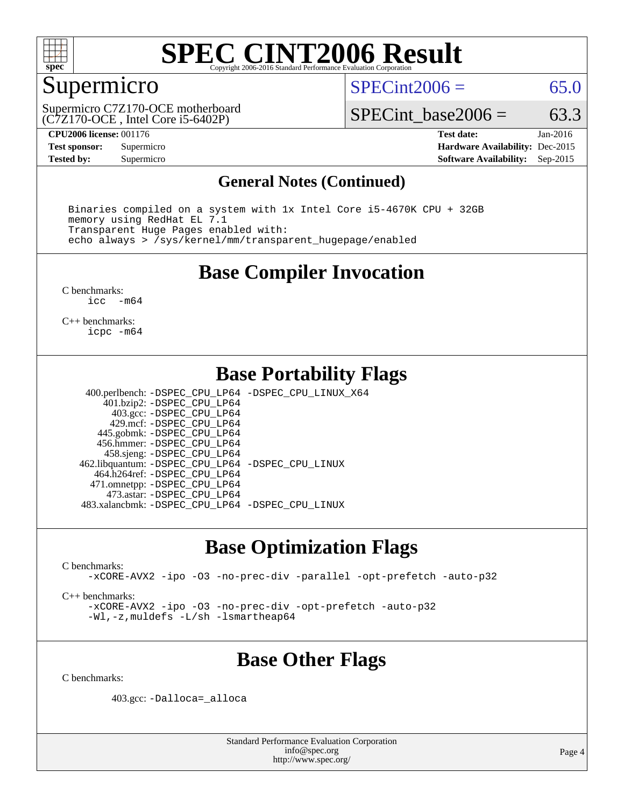

## Supermicro

 $SPECint2006 = 65.0$  $SPECint2006 = 65.0$ 

(C7Z170-OCE , Intel Core i5-6402P) Supermicro C7Z170-OCE motherboard

SPECint base2006 =  $63.3$ 

**[CPU2006 license:](http://www.spec.org/auto/cpu2006/Docs/result-fields.html#CPU2006license)** 001176 **[Test date:](http://www.spec.org/auto/cpu2006/Docs/result-fields.html#Testdate)** Jan-2016 **[Test sponsor:](http://www.spec.org/auto/cpu2006/Docs/result-fields.html#Testsponsor)** Supermicro **[Hardware Availability:](http://www.spec.org/auto/cpu2006/Docs/result-fields.html#HardwareAvailability)** Dec-2015 **[Tested by:](http://www.spec.org/auto/cpu2006/Docs/result-fields.html#Testedby)** Supermicro **Supermicro [Software Availability:](http://www.spec.org/auto/cpu2006/Docs/result-fields.html#SoftwareAvailability)** Sep-2015

#### **[General Notes \(Continued\)](http://www.spec.org/auto/cpu2006/Docs/result-fields.html#GeneralNotes)**

 Binaries compiled on a system with 1x Intel Core i5-4670K CPU + 32GB memory using RedHat EL 7.1 Transparent Huge Pages enabled with: echo always > /sys/kernel/mm/transparent\_hugepage/enabled

#### **[Base Compiler Invocation](http://www.spec.org/auto/cpu2006/Docs/result-fields.html#BaseCompilerInvocation)**

[C benchmarks](http://www.spec.org/auto/cpu2006/Docs/result-fields.html#Cbenchmarks):<br> $\frac{1}{2}$ cc  $-m64$ 

[C++ benchmarks:](http://www.spec.org/auto/cpu2006/Docs/result-fields.html#CXXbenchmarks) [icpc -m64](http://www.spec.org/cpu2006/results/res2016q1/cpu2006-20160125-38763.flags.html#user_CXXbase_intel_icpc_64bit_fc66a5337ce925472a5c54ad6a0de310)

#### **[Base Portability Flags](http://www.spec.org/auto/cpu2006/Docs/result-fields.html#BasePortabilityFlags)**

 400.perlbench: [-DSPEC\\_CPU\\_LP64](http://www.spec.org/cpu2006/results/res2016q1/cpu2006-20160125-38763.flags.html#b400.perlbench_basePORTABILITY_DSPEC_CPU_LP64) [-DSPEC\\_CPU\\_LINUX\\_X64](http://www.spec.org/cpu2006/results/res2016q1/cpu2006-20160125-38763.flags.html#b400.perlbench_baseCPORTABILITY_DSPEC_CPU_LINUX_X64) 401.bzip2: [-DSPEC\\_CPU\\_LP64](http://www.spec.org/cpu2006/results/res2016q1/cpu2006-20160125-38763.flags.html#suite_basePORTABILITY401_bzip2_DSPEC_CPU_LP64) 403.gcc: [-DSPEC\\_CPU\\_LP64](http://www.spec.org/cpu2006/results/res2016q1/cpu2006-20160125-38763.flags.html#suite_basePORTABILITY403_gcc_DSPEC_CPU_LP64) 429.mcf: [-DSPEC\\_CPU\\_LP64](http://www.spec.org/cpu2006/results/res2016q1/cpu2006-20160125-38763.flags.html#suite_basePORTABILITY429_mcf_DSPEC_CPU_LP64) 445.gobmk: [-DSPEC\\_CPU\\_LP64](http://www.spec.org/cpu2006/results/res2016q1/cpu2006-20160125-38763.flags.html#suite_basePORTABILITY445_gobmk_DSPEC_CPU_LP64) 456.hmmer: [-DSPEC\\_CPU\\_LP64](http://www.spec.org/cpu2006/results/res2016q1/cpu2006-20160125-38763.flags.html#suite_basePORTABILITY456_hmmer_DSPEC_CPU_LP64) 458.sjeng: [-DSPEC\\_CPU\\_LP64](http://www.spec.org/cpu2006/results/res2016q1/cpu2006-20160125-38763.flags.html#suite_basePORTABILITY458_sjeng_DSPEC_CPU_LP64) 462.libquantum: [-DSPEC\\_CPU\\_LP64](http://www.spec.org/cpu2006/results/res2016q1/cpu2006-20160125-38763.flags.html#suite_basePORTABILITY462_libquantum_DSPEC_CPU_LP64) [-DSPEC\\_CPU\\_LINUX](http://www.spec.org/cpu2006/results/res2016q1/cpu2006-20160125-38763.flags.html#b462.libquantum_baseCPORTABILITY_DSPEC_CPU_LINUX) 464.h264ref: [-DSPEC\\_CPU\\_LP64](http://www.spec.org/cpu2006/results/res2016q1/cpu2006-20160125-38763.flags.html#suite_basePORTABILITY464_h264ref_DSPEC_CPU_LP64) 471.omnetpp: [-DSPEC\\_CPU\\_LP64](http://www.spec.org/cpu2006/results/res2016q1/cpu2006-20160125-38763.flags.html#suite_basePORTABILITY471_omnetpp_DSPEC_CPU_LP64) 473.astar: [-DSPEC\\_CPU\\_LP64](http://www.spec.org/cpu2006/results/res2016q1/cpu2006-20160125-38763.flags.html#suite_basePORTABILITY473_astar_DSPEC_CPU_LP64) 483.xalancbmk: [-DSPEC\\_CPU\\_LP64](http://www.spec.org/cpu2006/results/res2016q1/cpu2006-20160125-38763.flags.html#suite_basePORTABILITY483_xalancbmk_DSPEC_CPU_LP64) [-DSPEC\\_CPU\\_LINUX](http://www.spec.org/cpu2006/results/res2016q1/cpu2006-20160125-38763.flags.html#b483.xalancbmk_baseCXXPORTABILITY_DSPEC_CPU_LINUX)

### **[Base Optimization Flags](http://www.spec.org/auto/cpu2006/Docs/result-fields.html#BaseOptimizationFlags)**

[C benchmarks](http://www.spec.org/auto/cpu2006/Docs/result-fields.html#Cbenchmarks):

[-xCORE-AVX2](http://www.spec.org/cpu2006/results/res2016q1/cpu2006-20160125-38763.flags.html#user_CCbase_f-xAVX2_5f5fc0cbe2c9f62c816d3e45806c70d7) [-ipo](http://www.spec.org/cpu2006/results/res2016q1/cpu2006-20160125-38763.flags.html#user_CCbase_f-ipo) [-O3](http://www.spec.org/cpu2006/results/res2016q1/cpu2006-20160125-38763.flags.html#user_CCbase_f-O3) [-no-prec-div](http://www.spec.org/cpu2006/results/res2016q1/cpu2006-20160125-38763.flags.html#user_CCbase_f-no-prec-div) [-parallel](http://www.spec.org/cpu2006/results/res2016q1/cpu2006-20160125-38763.flags.html#user_CCbase_f-parallel) [-opt-prefetch](http://www.spec.org/cpu2006/results/res2016q1/cpu2006-20160125-38763.flags.html#user_CCbase_f-opt-prefetch) [-auto-p32](http://www.spec.org/cpu2006/results/res2016q1/cpu2006-20160125-38763.flags.html#user_CCbase_f-auto-p32)

[C++ benchmarks:](http://www.spec.org/auto/cpu2006/Docs/result-fields.html#CXXbenchmarks)

[-xCORE-AVX2](http://www.spec.org/cpu2006/results/res2016q1/cpu2006-20160125-38763.flags.html#user_CXXbase_f-xAVX2_5f5fc0cbe2c9f62c816d3e45806c70d7) [-ipo](http://www.spec.org/cpu2006/results/res2016q1/cpu2006-20160125-38763.flags.html#user_CXXbase_f-ipo) [-O3](http://www.spec.org/cpu2006/results/res2016q1/cpu2006-20160125-38763.flags.html#user_CXXbase_f-O3) [-no-prec-div](http://www.spec.org/cpu2006/results/res2016q1/cpu2006-20160125-38763.flags.html#user_CXXbase_f-no-prec-div) [-opt-prefetch](http://www.spec.org/cpu2006/results/res2016q1/cpu2006-20160125-38763.flags.html#user_CXXbase_f-opt-prefetch) [-auto-p32](http://www.spec.org/cpu2006/results/res2016q1/cpu2006-20160125-38763.flags.html#user_CXXbase_f-auto-p32) [-Wl,-z,muldefs](http://www.spec.org/cpu2006/results/res2016q1/cpu2006-20160125-38763.flags.html#user_CXXbase_link_force_multiple1_74079c344b956b9658436fd1b6dd3a8a) [-L/sh -lsmartheap64](http://www.spec.org/cpu2006/results/res2016q1/cpu2006-20160125-38763.flags.html#user_CXXbase_SmartHeap64_ed4ef857ce90951921efb0d91eb88472)

## **[Base Other Flags](http://www.spec.org/auto/cpu2006/Docs/result-fields.html#BaseOtherFlags)**

[C benchmarks](http://www.spec.org/auto/cpu2006/Docs/result-fields.html#Cbenchmarks):

403.gcc: [-Dalloca=\\_alloca](http://www.spec.org/cpu2006/results/res2016q1/cpu2006-20160125-38763.flags.html#b403.gcc_baseEXTRA_CFLAGS_Dalloca_be3056838c12de2578596ca5467af7f3)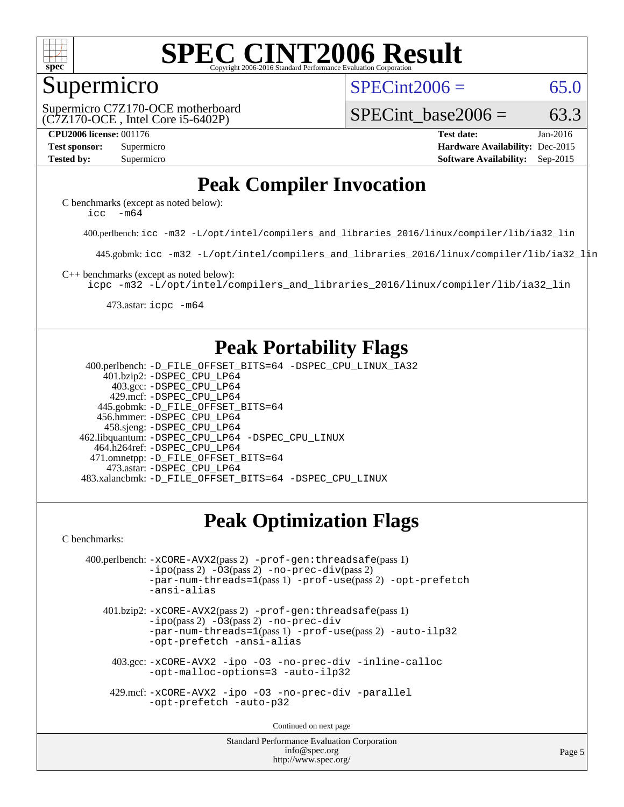

#### **[SPEC CINT2006 Result](http://www.spec.org/auto/cpu2006/Docs/result-fields.html#SPECCINT2006Result)** Copyright 2006-2016 Standard Performance Evaluation C

#### Supermicro

 $SPECint2006 = 65.0$  $SPECint2006 = 65.0$ 

(C7Z170-OCE , Intel Core i5-6402P) Supermicro C7Z170-OCE motherboard SPECint base2006 =  $63.3$ 

**[CPU2006 license:](http://www.spec.org/auto/cpu2006/Docs/result-fields.html#CPU2006license)** 001176 **[Test date:](http://www.spec.org/auto/cpu2006/Docs/result-fields.html#Testdate)** Jan-2016 **[Test sponsor:](http://www.spec.org/auto/cpu2006/Docs/result-fields.html#Testsponsor)** Supermicro **[Hardware Availability:](http://www.spec.org/auto/cpu2006/Docs/result-fields.html#HardwareAvailability)** Dec-2015 **[Tested by:](http://www.spec.org/auto/cpu2006/Docs/result-fields.html#Testedby)** Supermicro **Supermicro [Software Availability:](http://www.spec.org/auto/cpu2006/Docs/result-fields.html#SoftwareAvailability)** Sep-2015

## **[Peak Compiler Invocation](http://www.spec.org/auto/cpu2006/Docs/result-fields.html#PeakCompilerInvocation)**

[C benchmarks \(except as noted below\)](http://www.spec.org/auto/cpu2006/Docs/result-fields.html#Cbenchmarksexceptasnotedbelow): icc  $-m64$ 

400.perlbench: [icc -m32 -L/opt/intel/compilers\\_and\\_libraries\\_2016/linux/compiler/lib/ia32\\_lin](http://www.spec.org/cpu2006/results/res2016q1/cpu2006-20160125-38763.flags.html#user_peakCCLD400_perlbench_intel_icc_e10256ba5924b668798078a321b0cb3f)

445.gobmk: [icc -m32 -L/opt/intel/compilers\\_and\\_libraries\\_2016/linux/compiler/lib/ia32\\_lin](http://www.spec.org/cpu2006/results/res2016q1/cpu2006-20160125-38763.flags.html#user_peakCCLD445_gobmk_intel_icc_e10256ba5924b668798078a321b0cb3f)

[C++ benchmarks \(except as noted below\):](http://www.spec.org/auto/cpu2006/Docs/result-fields.html#CXXbenchmarksexceptasnotedbelow)

[icpc -m32 -L/opt/intel/compilers\\_and\\_libraries\\_2016/linux/compiler/lib/ia32\\_lin](http://www.spec.org/cpu2006/results/res2016q1/cpu2006-20160125-38763.flags.html#user_CXXpeak_intel_icpc_b4f50a394bdb4597aa5879c16bc3f5c5)

473.astar: [icpc -m64](http://www.spec.org/cpu2006/results/res2016q1/cpu2006-20160125-38763.flags.html#user_peakCXXLD473_astar_intel_icpc_64bit_fc66a5337ce925472a5c54ad6a0de310)

### **[Peak Portability Flags](http://www.spec.org/auto/cpu2006/Docs/result-fields.html#PeakPortabilityFlags)**

 400.perlbench: [-D\\_FILE\\_OFFSET\\_BITS=64](http://www.spec.org/cpu2006/results/res2016q1/cpu2006-20160125-38763.flags.html#user_peakPORTABILITY400_perlbench_file_offset_bits_64_438cf9856305ebd76870a2c6dc2689ab) [-DSPEC\\_CPU\\_LINUX\\_IA32](http://www.spec.org/cpu2006/results/res2016q1/cpu2006-20160125-38763.flags.html#b400.perlbench_peakCPORTABILITY_DSPEC_CPU_LINUX_IA32) 401.bzip2: [-DSPEC\\_CPU\\_LP64](http://www.spec.org/cpu2006/results/res2016q1/cpu2006-20160125-38763.flags.html#suite_peakPORTABILITY401_bzip2_DSPEC_CPU_LP64) 403.gcc: [-DSPEC\\_CPU\\_LP64](http://www.spec.org/cpu2006/results/res2016q1/cpu2006-20160125-38763.flags.html#suite_peakPORTABILITY403_gcc_DSPEC_CPU_LP64) 429.mcf: [-DSPEC\\_CPU\\_LP64](http://www.spec.org/cpu2006/results/res2016q1/cpu2006-20160125-38763.flags.html#suite_peakPORTABILITY429_mcf_DSPEC_CPU_LP64) 445.gobmk: [-D\\_FILE\\_OFFSET\\_BITS=64](http://www.spec.org/cpu2006/results/res2016q1/cpu2006-20160125-38763.flags.html#user_peakPORTABILITY445_gobmk_file_offset_bits_64_438cf9856305ebd76870a2c6dc2689ab) 456.hmmer: [-DSPEC\\_CPU\\_LP64](http://www.spec.org/cpu2006/results/res2016q1/cpu2006-20160125-38763.flags.html#suite_peakPORTABILITY456_hmmer_DSPEC_CPU_LP64) 458.sjeng: [-DSPEC\\_CPU\\_LP64](http://www.spec.org/cpu2006/results/res2016q1/cpu2006-20160125-38763.flags.html#suite_peakPORTABILITY458_sjeng_DSPEC_CPU_LP64) 462.libquantum: [-DSPEC\\_CPU\\_LP64](http://www.spec.org/cpu2006/results/res2016q1/cpu2006-20160125-38763.flags.html#suite_peakPORTABILITY462_libquantum_DSPEC_CPU_LP64) [-DSPEC\\_CPU\\_LINUX](http://www.spec.org/cpu2006/results/res2016q1/cpu2006-20160125-38763.flags.html#b462.libquantum_peakCPORTABILITY_DSPEC_CPU_LINUX) 464.h264ref: [-DSPEC\\_CPU\\_LP64](http://www.spec.org/cpu2006/results/res2016q1/cpu2006-20160125-38763.flags.html#suite_peakPORTABILITY464_h264ref_DSPEC_CPU_LP64) 471.omnetpp: [-D\\_FILE\\_OFFSET\\_BITS=64](http://www.spec.org/cpu2006/results/res2016q1/cpu2006-20160125-38763.flags.html#user_peakPORTABILITY471_omnetpp_file_offset_bits_64_438cf9856305ebd76870a2c6dc2689ab) 473.astar: [-DSPEC\\_CPU\\_LP64](http://www.spec.org/cpu2006/results/res2016q1/cpu2006-20160125-38763.flags.html#suite_peakPORTABILITY473_astar_DSPEC_CPU_LP64) 483.xalancbmk: [-D\\_FILE\\_OFFSET\\_BITS=64](http://www.spec.org/cpu2006/results/res2016q1/cpu2006-20160125-38763.flags.html#user_peakPORTABILITY483_xalancbmk_file_offset_bits_64_438cf9856305ebd76870a2c6dc2689ab) [-DSPEC\\_CPU\\_LINUX](http://www.spec.org/cpu2006/results/res2016q1/cpu2006-20160125-38763.flags.html#b483.xalancbmk_peakCXXPORTABILITY_DSPEC_CPU_LINUX)

## **[Peak Optimization Flags](http://www.spec.org/auto/cpu2006/Docs/result-fields.html#PeakOptimizationFlags)**

[C benchmarks](http://www.spec.org/auto/cpu2006/Docs/result-fields.html#Cbenchmarks):

```
 400.perlbench: -xCORE-AVX2(pass 2) -prof-gen:threadsafe(pass 1)
             -i\text{po}(pass 2) -\overline{0}3(pass 2)-no-prec-div(pass 2)
             -par-num-threads=1(pass 1) -prof-use(pass 2) -opt-prefetch
             -ansi-alias
```
 401.bzip2: [-xCORE-AVX2](http://www.spec.org/cpu2006/results/res2016q1/cpu2006-20160125-38763.flags.html#user_peakPASS2_CFLAGSPASS2_LDCFLAGS401_bzip2_f-xAVX2_5f5fc0cbe2c9f62c816d3e45806c70d7)(pass 2) [-prof-gen:threadsafe](http://www.spec.org/cpu2006/results/res2016q1/cpu2006-20160125-38763.flags.html#user_peakPASS1_CFLAGSPASS1_LDCFLAGS401_bzip2_prof_gen_21a26eb79f378b550acd7bec9fe4467a)(pass 1)  $-i\text{po}(pass 2) -03(pass 2) -no-prec-div$  $-i\text{po}(pass 2) -03(pass 2) -no-prec-div$ [-par-num-threads=1](http://www.spec.org/cpu2006/results/res2016q1/cpu2006-20160125-38763.flags.html#user_peakPASS1_CFLAGSPASS1_LDCFLAGS401_bzip2_par_num_threads_786a6ff141b4e9e90432e998842df6c2)(pass 1) [-prof-use](http://www.spec.org/cpu2006/results/res2016q1/cpu2006-20160125-38763.flags.html#user_peakPASS2_CFLAGSPASS2_LDCFLAGS401_bzip2_prof_use_bccf7792157ff70d64e32fe3e1250b55)(pass 2) [-auto-ilp32](http://www.spec.org/cpu2006/results/res2016q1/cpu2006-20160125-38763.flags.html#user_peakCOPTIMIZE401_bzip2_f-auto-ilp32) [-opt-prefetch](http://www.spec.org/cpu2006/results/res2016q1/cpu2006-20160125-38763.flags.html#user_peakCOPTIMIZE401_bzip2_f-opt-prefetch) [-ansi-alias](http://www.spec.org/cpu2006/results/res2016q1/cpu2006-20160125-38763.flags.html#user_peakCOPTIMIZE401_bzip2_f-ansi-alias)

 403.gcc: [-xCORE-AVX2](http://www.spec.org/cpu2006/results/res2016q1/cpu2006-20160125-38763.flags.html#user_peakCOPTIMIZE403_gcc_f-xAVX2_5f5fc0cbe2c9f62c816d3e45806c70d7) [-ipo](http://www.spec.org/cpu2006/results/res2016q1/cpu2006-20160125-38763.flags.html#user_peakCOPTIMIZE403_gcc_f-ipo) [-O3](http://www.spec.org/cpu2006/results/res2016q1/cpu2006-20160125-38763.flags.html#user_peakCOPTIMIZE403_gcc_f-O3) [-no-prec-div](http://www.spec.org/cpu2006/results/res2016q1/cpu2006-20160125-38763.flags.html#user_peakCOPTIMIZE403_gcc_f-no-prec-div) [-inline-calloc](http://www.spec.org/cpu2006/results/res2016q1/cpu2006-20160125-38763.flags.html#user_peakCOPTIMIZE403_gcc_f-inline-calloc) [-opt-malloc-options=3](http://www.spec.org/cpu2006/results/res2016q1/cpu2006-20160125-38763.flags.html#user_peakCOPTIMIZE403_gcc_f-opt-malloc-options_13ab9b803cf986b4ee62f0a5998c2238) [-auto-ilp32](http://www.spec.org/cpu2006/results/res2016q1/cpu2006-20160125-38763.flags.html#user_peakCOPTIMIZE403_gcc_f-auto-ilp32)

 429.mcf: [-xCORE-AVX2](http://www.spec.org/cpu2006/results/res2016q1/cpu2006-20160125-38763.flags.html#user_peakCOPTIMIZE429_mcf_f-xAVX2_5f5fc0cbe2c9f62c816d3e45806c70d7) [-ipo](http://www.spec.org/cpu2006/results/res2016q1/cpu2006-20160125-38763.flags.html#user_peakCOPTIMIZE429_mcf_f-ipo) [-O3](http://www.spec.org/cpu2006/results/res2016q1/cpu2006-20160125-38763.flags.html#user_peakCOPTIMIZE429_mcf_f-O3) [-no-prec-div](http://www.spec.org/cpu2006/results/res2016q1/cpu2006-20160125-38763.flags.html#user_peakCOPTIMIZE429_mcf_f-no-prec-div) [-parallel](http://www.spec.org/cpu2006/results/res2016q1/cpu2006-20160125-38763.flags.html#user_peakCOPTIMIZE429_mcf_f-parallel) [-opt-prefetch](http://www.spec.org/cpu2006/results/res2016q1/cpu2006-20160125-38763.flags.html#user_peakCOPTIMIZE429_mcf_f-opt-prefetch) [-auto-p32](http://www.spec.org/cpu2006/results/res2016q1/cpu2006-20160125-38763.flags.html#user_peakCOPTIMIZE429_mcf_f-auto-p32)

Continued on next page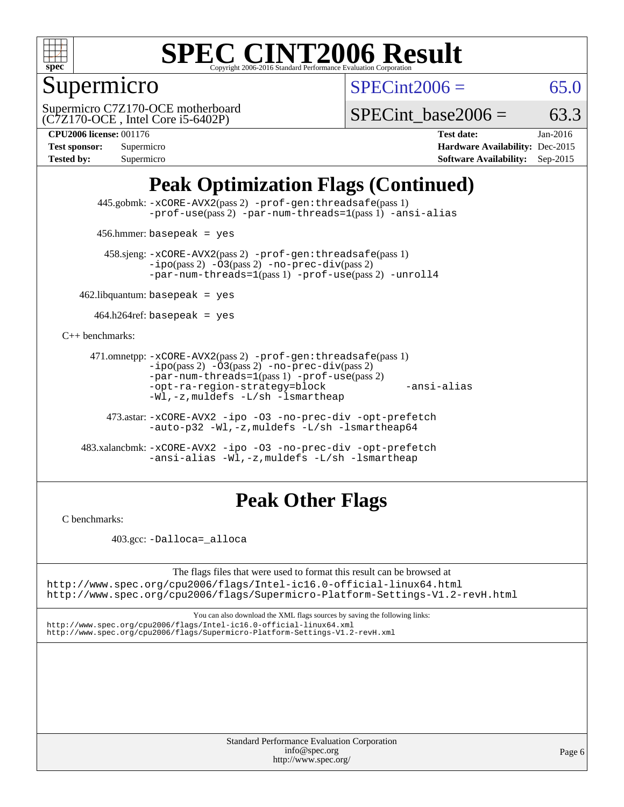

## Supermicro

 $SPECint2006 = 65.0$  $SPECint2006 = 65.0$ 

(C7Z170-OCE , Intel Core i5-6402P) Supermicro C7Z170-OCE motherboard

SPECint base2006 =  $63.3$ 

**[CPU2006 license:](http://www.spec.org/auto/cpu2006/Docs/result-fields.html#CPU2006license)** 001176 **[Test date:](http://www.spec.org/auto/cpu2006/Docs/result-fields.html#Testdate)** Jan-2016 **[Test sponsor:](http://www.spec.org/auto/cpu2006/Docs/result-fields.html#Testsponsor)** Supermicro **[Hardware Availability:](http://www.spec.org/auto/cpu2006/Docs/result-fields.html#HardwareAvailability)** Dec-2015 **[Tested by:](http://www.spec.org/auto/cpu2006/Docs/result-fields.html#Testedby)** Supermicro **Supermicro [Software Availability:](http://www.spec.org/auto/cpu2006/Docs/result-fields.html#SoftwareAvailability)** Sep-2015

## **[Peak Optimization Flags \(Continued\)](http://www.spec.org/auto/cpu2006/Docs/result-fields.html#PeakOptimizationFlags)**

 445.gobmk: [-xCORE-AVX2](http://www.spec.org/cpu2006/results/res2016q1/cpu2006-20160125-38763.flags.html#user_peakPASS2_CFLAGSPASS2_LDCFLAGS445_gobmk_f-xAVX2_5f5fc0cbe2c9f62c816d3e45806c70d7)(pass 2) [-prof-gen:threadsafe](http://www.spec.org/cpu2006/results/res2016q1/cpu2006-20160125-38763.flags.html#user_peakPASS1_CFLAGSPASS1_LDCFLAGS445_gobmk_prof_gen_21a26eb79f378b550acd7bec9fe4467a)(pass 1) [-prof-use](http://www.spec.org/cpu2006/results/res2016q1/cpu2006-20160125-38763.flags.html#user_peakPASS2_CFLAGSPASS2_LDCFLAGS445_gobmk_prof_use_bccf7792157ff70d64e32fe3e1250b55)(pass 2) [-par-num-threads=1](http://www.spec.org/cpu2006/results/res2016q1/cpu2006-20160125-38763.flags.html#user_peakPASS1_CFLAGSPASS1_LDCFLAGS445_gobmk_par_num_threads_786a6ff141b4e9e90432e998842df6c2)(pass 1) [-ansi-alias](http://www.spec.org/cpu2006/results/res2016q1/cpu2006-20160125-38763.flags.html#user_peakCOPTIMIZE445_gobmk_f-ansi-alias)

456.hmmer: basepeak = yes

 458.sjeng: [-xCORE-AVX2](http://www.spec.org/cpu2006/results/res2016q1/cpu2006-20160125-38763.flags.html#user_peakPASS2_CFLAGSPASS2_LDCFLAGS458_sjeng_f-xAVX2_5f5fc0cbe2c9f62c816d3e45806c70d7)(pass 2) [-prof-gen:threadsafe](http://www.spec.org/cpu2006/results/res2016q1/cpu2006-20160125-38763.flags.html#user_peakPASS1_CFLAGSPASS1_LDCFLAGS458_sjeng_prof_gen_21a26eb79f378b550acd7bec9fe4467a)(pass 1)  $-ipo(pass 2) -\overline{03(pass 2)}$  $-ipo(pass 2) -\overline{03(pass 2)}$  [-no-prec-div](http://www.spec.org/cpu2006/results/res2016q1/cpu2006-20160125-38763.flags.html#user_peakPASS2_CFLAGSPASS2_LDCFLAGS458_sjeng_f-no-prec-div)(pass 2) [-par-num-threads=1](http://www.spec.org/cpu2006/results/res2016q1/cpu2006-20160125-38763.flags.html#user_peakPASS1_CFLAGSPASS1_LDCFLAGS458_sjeng_par_num_threads_786a6ff141b4e9e90432e998842df6c2)(pass 1) [-prof-use](http://www.spec.org/cpu2006/results/res2016q1/cpu2006-20160125-38763.flags.html#user_peakPASS2_CFLAGSPASS2_LDCFLAGS458_sjeng_prof_use_bccf7792157ff70d64e32fe3e1250b55)(pass 2) [-unroll4](http://www.spec.org/cpu2006/results/res2016q1/cpu2006-20160125-38763.flags.html#user_peakCOPTIMIZE458_sjeng_f-unroll_4e5e4ed65b7fd20bdcd365bec371b81f)

 $462$ .libquantum: basepeak = yes

 $464.h264$ ref: basepeak = yes

[C++ benchmarks:](http://www.spec.org/auto/cpu2006/Docs/result-fields.html#CXXbenchmarks)

```
 471.omnetpp: -xCORE-AVX2(pass 2) -prof-gen:threadsafe(pass 1)
          -i\text{po}(pass 2) -03(pass 2) -no-prec-div(pass 2)-par-num-threads=1(pass 1) -prof-use(pass 2)
          -opt-ra-region-strategy=block -ansi-alias
          -Wl,-z,muldefs -L/sh -lsmartheap
```
 473.astar: [-xCORE-AVX2](http://www.spec.org/cpu2006/results/res2016q1/cpu2006-20160125-38763.flags.html#user_peakCXXOPTIMIZE473_astar_f-xAVX2_5f5fc0cbe2c9f62c816d3e45806c70d7) [-ipo](http://www.spec.org/cpu2006/results/res2016q1/cpu2006-20160125-38763.flags.html#user_peakCXXOPTIMIZE473_astar_f-ipo) [-O3](http://www.spec.org/cpu2006/results/res2016q1/cpu2006-20160125-38763.flags.html#user_peakCXXOPTIMIZE473_astar_f-O3) [-no-prec-div](http://www.spec.org/cpu2006/results/res2016q1/cpu2006-20160125-38763.flags.html#user_peakCXXOPTIMIZE473_astar_f-no-prec-div) [-opt-prefetch](http://www.spec.org/cpu2006/results/res2016q1/cpu2006-20160125-38763.flags.html#user_peakCXXOPTIMIZE473_astar_f-opt-prefetch) [-auto-p32](http://www.spec.org/cpu2006/results/res2016q1/cpu2006-20160125-38763.flags.html#user_peakCXXOPTIMIZE473_astar_f-auto-p32) [-Wl,-z,muldefs](http://www.spec.org/cpu2006/results/res2016q1/cpu2006-20160125-38763.flags.html#user_peakEXTRA_LDFLAGS473_astar_link_force_multiple1_74079c344b956b9658436fd1b6dd3a8a) [-L/sh -lsmartheap64](http://www.spec.org/cpu2006/results/res2016q1/cpu2006-20160125-38763.flags.html#user_peakEXTRA_LIBS473_astar_SmartHeap64_ed4ef857ce90951921efb0d91eb88472)

 483.xalancbmk: [-xCORE-AVX2](http://www.spec.org/cpu2006/results/res2016q1/cpu2006-20160125-38763.flags.html#user_peakCXXOPTIMIZE483_xalancbmk_f-xAVX2_5f5fc0cbe2c9f62c816d3e45806c70d7) [-ipo](http://www.spec.org/cpu2006/results/res2016q1/cpu2006-20160125-38763.flags.html#user_peakCXXOPTIMIZE483_xalancbmk_f-ipo) [-O3](http://www.spec.org/cpu2006/results/res2016q1/cpu2006-20160125-38763.flags.html#user_peakCXXOPTIMIZE483_xalancbmk_f-O3) [-no-prec-div](http://www.spec.org/cpu2006/results/res2016q1/cpu2006-20160125-38763.flags.html#user_peakCXXOPTIMIZE483_xalancbmk_f-no-prec-div) [-opt-prefetch](http://www.spec.org/cpu2006/results/res2016q1/cpu2006-20160125-38763.flags.html#user_peakCXXOPTIMIZE483_xalancbmk_f-opt-prefetch) [-ansi-alias](http://www.spec.org/cpu2006/results/res2016q1/cpu2006-20160125-38763.flags.html#user_peakCXXOPTIMIZE483_xalancbmk_f-ansi-alias) [-Wl,-z,muldefs](http://www.spec.org/cpu2006/results/res2016q1/cpu2006-20160125-38763.flags.html#user_peakEXTRA_LDFLAGS483_xalancbmk_link_force_multiple1_74079c344b956b9658436fd1b6dd3a8a) [-L/sh -lsmartheap](http://www.spec.org/cpu2006/results/res2016q1/cpu2006-20160125-38763.flags.html#user_peakEXTRA_LIBS483_xalancbmk_SmartHeap_32f6c82aa1ed9c52345d30cf6e4a0499)

## **[Peak Other Flags](http://www.spec.org/auto/cpu2006/Docs/result-fields.html#PeakOtherFlags)**

[C benchmarks](http://www.spec.org/auto/cpu2006/Docs/result-fields.html#Cbenchmarks):

403.gcc: [-Dalloca=\\_alloca](http://www.spec.org/cpu2006/results/res2016q1/cpu2006-20160125-38763.flags.html#b403.gcc_peakEXTRA_CFLAGS_Dalloca_be3056838c12de2578596ca5467af7f3)

The flags files that were used to format this result can be browsed at <http://www.spec.org/cpu2006/flags/Intel-ic16.0-official-linux64.html>

<http://www.spec.org/cpu2006/flags/Supermicro-Platform-Settings-V1.2-revH.html>

You can also download the XML flags sources by saving the following links: <http://www.spec.org/cpu2006/flags/Intel-ic16.0-official-linux64.xml> <http://www.spec.org/cpu2006/flags/Supermicro-Platform-Settings-V1.2-revH.xml>